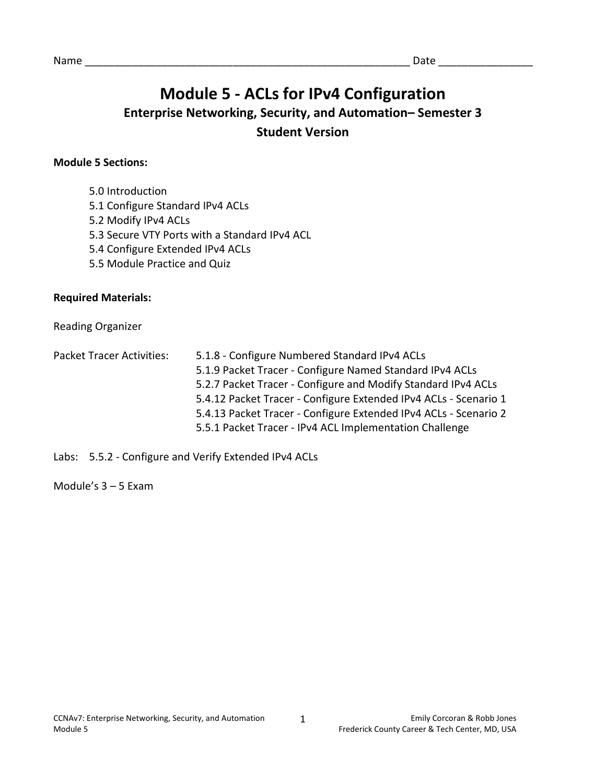## **Module 5 - ACLs for IPv4 Configuration Enterprise Networking, Security, and Automation– Semester 3 Student Version**

#### **Module 5 Sections:**

- 5.0 Introduction
- 5.1 Configure Standard IPv4 ACLs
- 5.2 Modify IPv4 ACLs
- 5.3 Secure VTY Ports with a Standard IPv4 ACL
- 5.4 Configure Extended IPv4 ACLs
- 5.5 Module Practice and Quiz

#### **Required Materials:**

Reading Organizer

Packet Tracer Activities: 5.1.8 - Configure Numbered Standard IPv4 ACLs 5.1.9 Packet Tracer - Configure Named Standard IPv4 ACLs 5.2.7 Packet Tracer - Configure and Modify Standard IPv4 ACLs 5.4.12 Packet Tracer - Configure Extended IPv4 ACLs - Scenario 1 5.4.13 Packet Tracer - Configure Extended IPv4 ACLs - Scenario 2 5.5.1 Packet Tracer - IPv4 ACL Implementation Challenge

Labs: 5.5.2 - Configure and Verify Extended IPv4 ACLs

Module's 3 – 5 Exam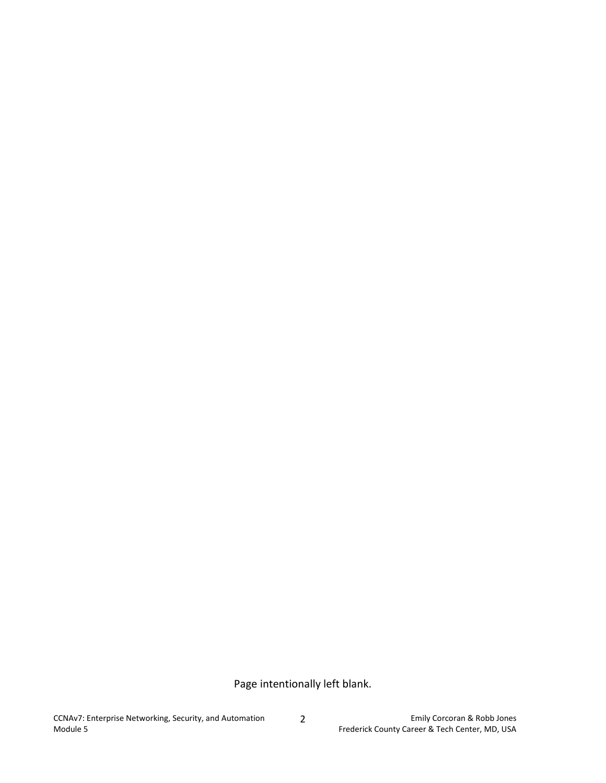## Page intentionally left blank.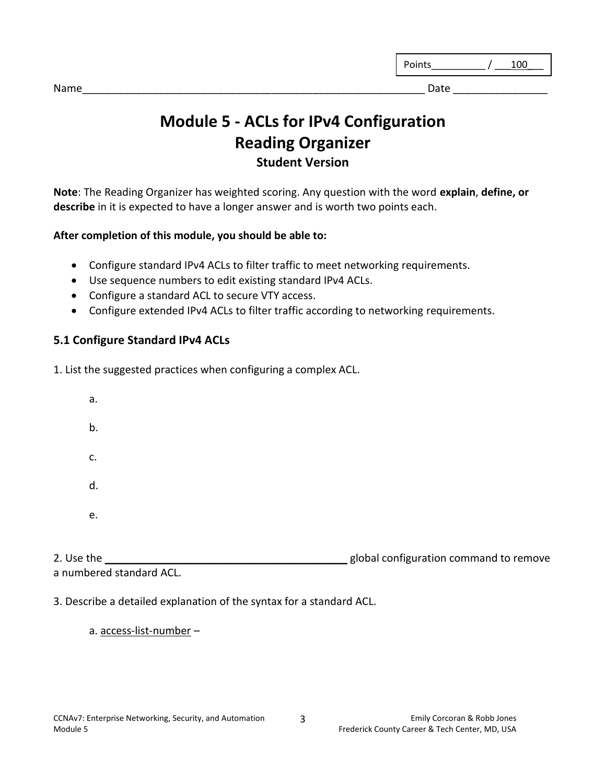Name\_\_\_\_\_\_\_\_\_\_\_\_\_\_\_\_\_\_\_\_\_\_\_\_\_\_\_\_\_\_\_\_\_\_\_\_\_\_\_\_\_\_\_\_\_\_\_\_\_\_\_\_\_\_\_\_\_\_ Date \_\_\_\_\_\_\_\_\_\_\_\_\_\_\_\_

# **Module 5 - ACLs for IPv4 Configuration Reading Organizer Student Version**

**Note**: The Reading Organizer has weighted scoring. Any question with the word **explain**, **define, or describe** in it is expected to have a longer answer and is worth two points each.

#### **After completion of this module, you should be able to:**

- Configure standard IPv4 ACLs to filter traffic to meet networking requirements.
- Use sequence numbers to edit existing standard IPv4 ACLs.
- Configure a standard ACL to secure VTY access.
- Configure extended IPv4 ACLs to filter traffic according to networking requirements.

## **5.1 Configure Standard IPv4 ACLs**

1. List the suggested practices when configuring a complex ACL.

a. b. c. d. e.

2. Use the \_\_\_\_\_\_\_\_\_\_\_\_\_\_\_\_\_\_\_\_\_\_\_\_\_\_\_\_\_\_\_\_\_\_\_\_\_\_\_\_\_ global configuration command to remove a numbered standard ACL.

3. Describe a detailed explanation of the syntax for a standard ACL.

a. access-list-number –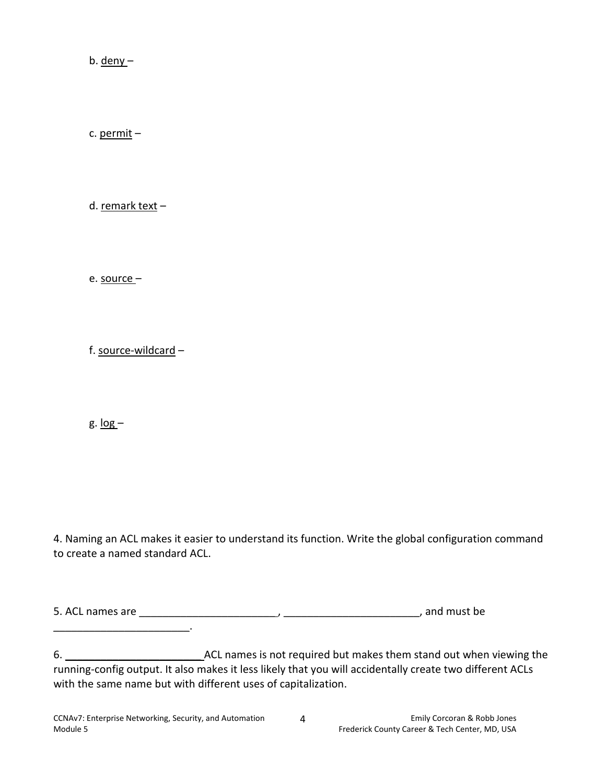b. deny –

c. permit –

d. remark text -

e. source –

f. source-wildcard –

g. log –

4. Naming an ACL makes it easier to understand its function. Write the global configuration command to create a named standard ACL.

5. ACL names are \_\_\_\_\_\_\_\_\_\_\_\_\_\_\_\_\_\_\_\_\_\_\_ , \_\_\_\_\_\_\_\_\_\_\_\_\_\_\_\_\_\_\_\_\_\_\_, and must be

6. \_\_\_\_\_\_\_\_\_\_\_\_\_\_\_\_\_\_\_\_\_\_\_ ACL names is not required but makes them stand out when viewing the running-config output. It also makes it less likely that you will accidentally create two different ACLs with the same name but with different uses of capitalization.

\_\_\_\_\_\_\_\_\_\_\_\_\_\_\_\_\_\_\_\_\_\_\_.

4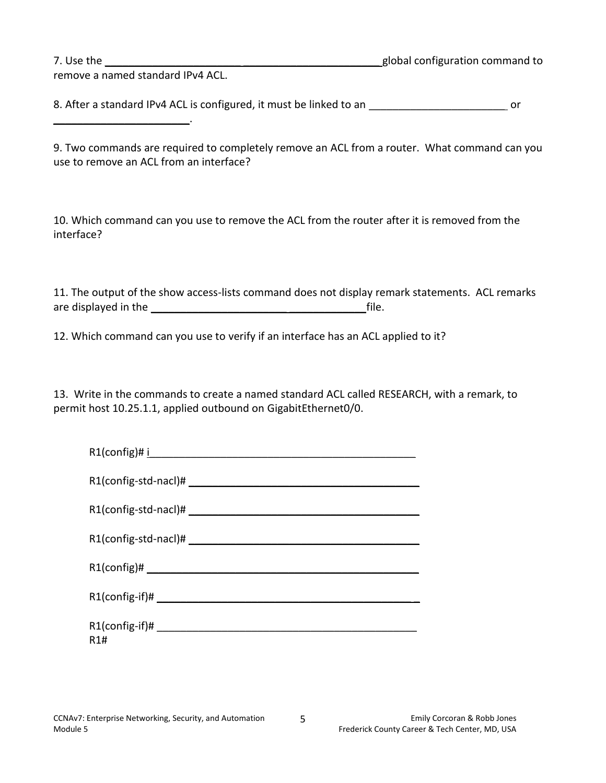remove a named standard IPv4 ACL.

\_\_\_\_\_\_\_\_\_\_\_\_\_\_\_\_\_\_\_\_\_\_\_.

8. After a standard IPv4 ACL is configured, it must be linked to an \_\_\_\_\_\_\_\_\_\_\_\_\_\_\_\_\_\_\_\_\_\_\_\_\_\_\_\_\_\_ or

9. Two commands are required to completely remove an ACL from a router. What command can you use to remove an ACL from an interface?

10. Which command can you use to remove the ACL from the router after it is removed from the interface?

11. The output of the show access-lists command does not display remark statements. ACL remarks are displayed in the \_\_\_\_\_\_\_\_\_\_\_\_\_\_\_\_\_\_\_\_\_\_\_ \_\_\_\_\_\_\_\_\_\_\_\_\_file.

12. Which command can you use to verify if an interface has an ACL applied to it?

13. Write in the commands to create a named standard ACL called RESEARCH, with a remark, to permit host 10.25.1.1, applied outbound on GigabitEthernet0/0.

| $R1$ (config-if)# $\qquad \qquad$        |
|------------------------------------------|
| $R1$ (config-if)# $\qquad \qquad$<br>R1# |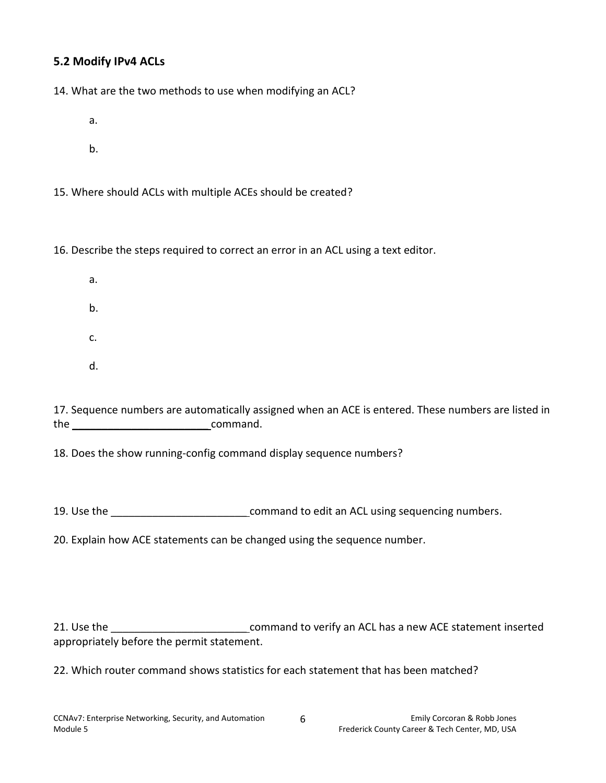#### **5.2 Modify IPv4 ACLs**

14. What are the two methods to use when modifying an ACL?

- a.
- b.
- 15. Where should ACLs with multiple ACEs should be created?

16. Describe the steps required to correct an error in an ACL using a text editor.

a. b. c. d.

17. Sequence numbers are automatically assigned when an ACE is entered. These numbers are listed in the command.

18. Does the show running-config command display sequence numbers?

19. Use the **19. Use the 20. If the set of the command to edit an ACL using sequencing numbers.** 

20. Explain how ACE statements can be changed using the sequence number.

21. Use the \_\_\_\_\_\_\_\_\_\_\_\_\_\_\_\_\_\_\_\_\_\_\_\_\_\_\_\_\_\_\_command to verify an ACL has a new ACE statement inserted appropriately before the permit statement.

22. Which router command shows statistics for each statement that has been matched?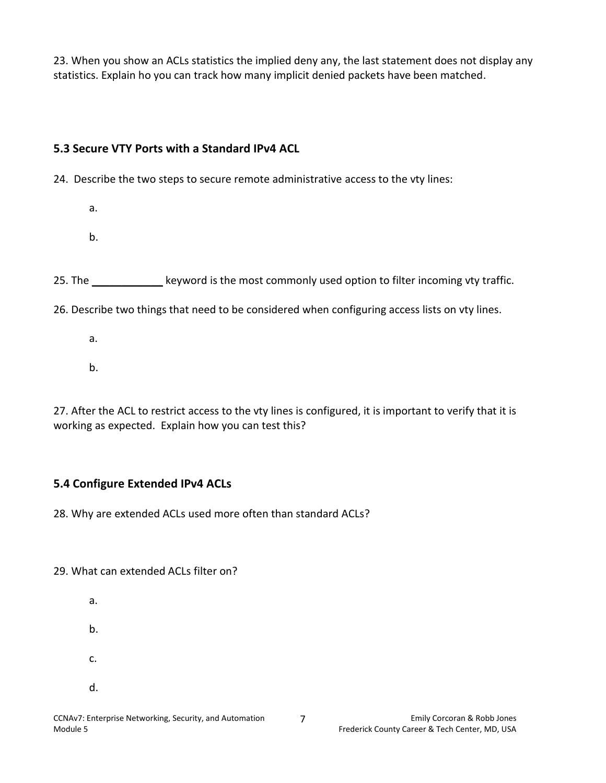23. When you show an ACLs statistics the implied deny any, the last statement does not display any statistics. Explain ho you can track how many implicit denied packets have been matched.

### **5.3 Secure VTY Ports with a Standard IPv4 ACL**

- 24. Describe the two steps to secure remote administrative access to the vty lines:
	- a.
	- b.

25. The state of the most commonly used option to filter incoming vty traffic.

26. Describe two things that need to be considered when configuring access lists on vty lines.

- a.
- b.

27. After the ACL to restrict access to the vty lines is configured, it is important to verify that it is working as expected. Explain how you can test this?

## **5.4 Configure Extended IPv4 ACLs**

28. Why are extended ACLs used more often than standard ACLs?

#### 29. What can extended ACLs filter on?

- a.
- b.
- 
- c.
- d.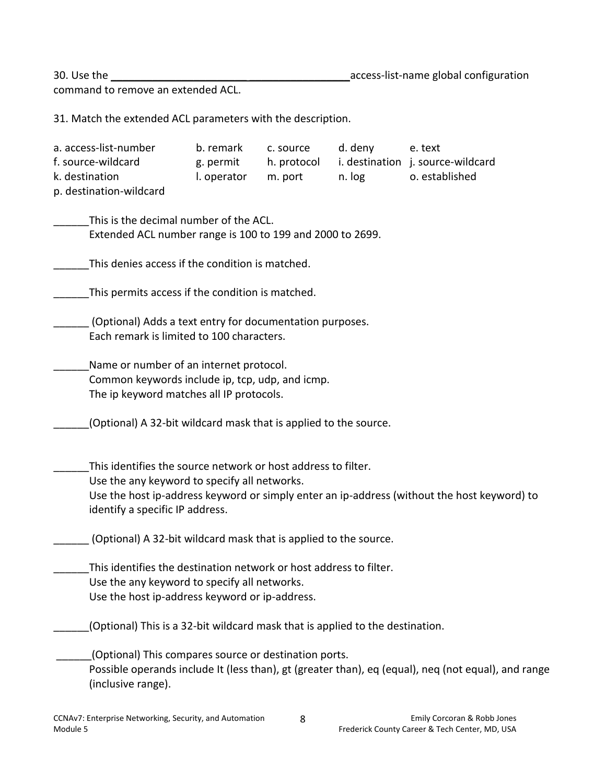30. Use the \_\_\_\_\_\_\_\_\_\_\_\_\_\_\_\_\_\_\_\_\_\_\_ \_\_\_\_\_\_\_\_\_\_\_\_\_\_\_\_\_access-list-name global configuration

command to remove an extended ACL.

31. Match the extended ACL parameters with the description.

a. access-list-number b. remark c. source d. deny e. text f. source-wildcard g. permit h. protocol i. destination j. source-wildcard k. destination l. operator m. port n. log o. established p. destination-wildcard

This is the decimal number of the ACL. Extended ACL number range is 100 to 199 and 2000 to 2699.

This denies access if the condition is matched.

\_\_\_\_\_\_This permits access if the condition is matched.

\_\_\_\_\_\_ (Optional) Adds a text entry for documentation purposes. Each remark is limited to 100 characters.

Name or number of an internet protocol. Common keywords include ip, tcp, udp, and icmp. The ip keyword matches all IP protocols.

\_\_\_\_\_\_(Optional) A 32-bit wildcard mask that is applied to the source.

This identifies the source network or host address to filter. Use the any keyword to specify all networks. Use the host ip-address keyword or simply enter an ip-address (without the host keyword) to identify a specific IP address.

\_\_\_\_\_\_ (Optional) A 32-bit wildcard mask that is applied to the source.

- This identifies the destination network or host address to filter. Use the any keyword to specify all networks. Use the host ip-address keyword or ip-address.
	- \_\_\_\_\_\_(Optional) This is a 32-bit wildcard mask that is applied to the destination.

\_\_\_\_\_\_(Optional) This compares source or destination ports. Possible operands include It (less than), gt (greater than), eq (equal), neq (not equal), and range (inclusive range).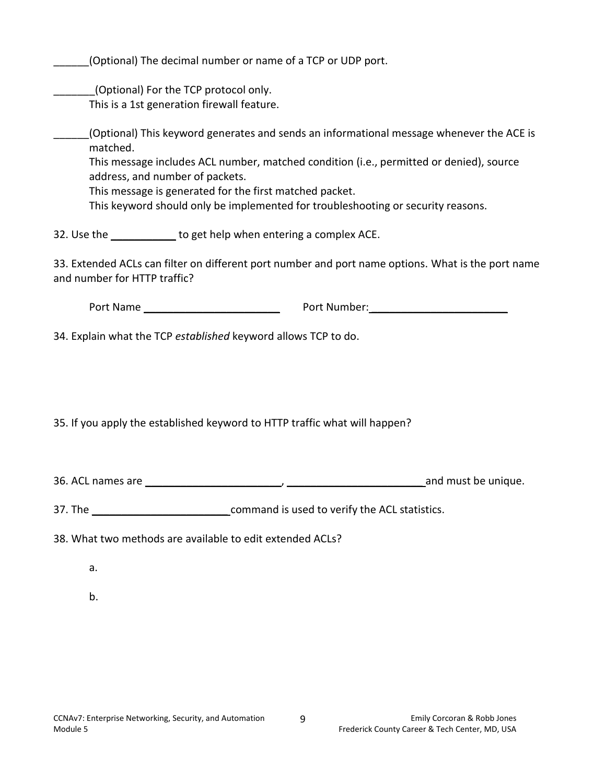\_\_\_\_\_\_(Optional) The decimal number or name of a TCP or UDP port.

\_\_\_\_\_\_\_(Optional) For the TCP protocol only.

This is a 1st generation firewall feature.

(Optional) This keyword generates and sends an informational message whenever the ACE is matched.

This message includes ACL number, matched condition (i.e., permitted or denied), source address, and number of packets.

This message is generated for the first matched packet.

This keyword should only be implemented for troubleshooting or security reasons.

32. Use the \_\_\_\_\_\_\_\_\_\_\_\_ to get help when entering a complex ACE.

33. Extended ACLs can filter on different port number and port name options. What is the port name and number for HTTP traffic?

| Port Name | Port Number: |
|-----------|--------------|
|           |              |

34. Explain what the TCP *established* keyword allows TCP to do.

35. If you apply the established keyword to HTTP traffic what will happen?

36. ACL names are \_\_\_\_\_\_\_\_\_\_\_\_\_\_\_\_\_\_\_\_\_\_\_, \_\_\_\_\_\_\_\_\_\_\_\_\_\_\_\_\_\_\_\_\_\_\_ and must be unique.

37. The \_\_\_\_\_\_\_\_\_\_\_\_\_\_\_\_\_\_\_\_\_\_\_\_\_\_\_\_\_\_\_\_command is used to verify the ACL statistics.

38. What two methods are available to edit extended ACLs?

- a.
- b.